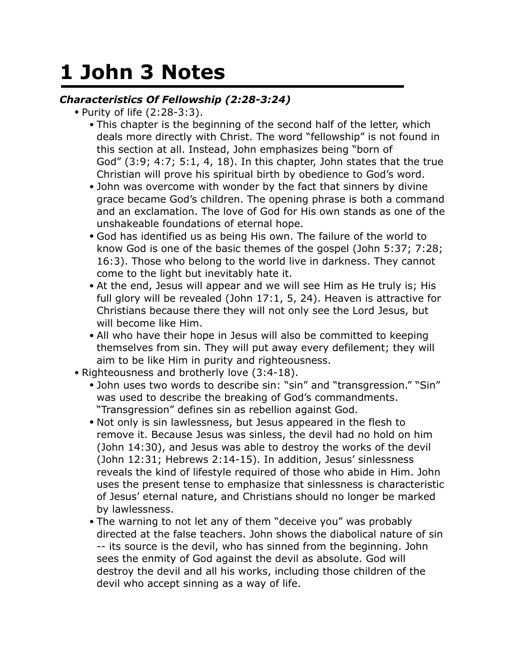## **1 John 3 Notes**

## *Characteristics Of Fellowship (2:28-3:24)*

- Purity of life (2:28-3:3).
	- This chapter is the beginning of the second half of the letter, which deals more directly with Christ. The word "fellowship" is not found in this section at all. Instead, John emphasizes being "born of God" (3:9; 4:7; 5:1, 4, 18). In this chapter, John states that the true Christian will prove his spiritual birth by obedience to God's word.
	- John was overcome with wonder by the fact that sinners by divine grace became God's children. The opening phrase is both a command and an exclamation. The love of God for His own stands as one of the unshakeable foundations of eternal hope.
	- God has identified us as being His own. The failure of the world to know God is one of the basic themes of the gospel (John 5:37; 7:28; 16:3). Those who belong to the world live in darkness. They cannot come to the light but inevitably hate it.
	- At the end, Jesus will appear and we will see Him as He truly is; His full glory will be revealed (John 17:1, 5, 24). Heaven is attractive for Christians because there they will not only see the Lord Jesus, but will become like Him.
	- All who have their hope in Jesus will also be committed to keeping themselves from sin. They will put away every defilement; they will aim to be like Him in purity and righteousness.
- Righteousness and brotherly love (3:4-18).
	- John uses two words to describe sin: "sin" and "transgression." "Sin" was used to describe the breaking of God's commandments. "Transgression" defines sin as rebellion against God.
	- Not only is sin lawlessness, but Jesus appeared in the flesh to remove it. Because Jesus was sinless, the devil had no hold on him (John 14:30), and Jesus was able to destroy the works of the devil (John 12:31; Hebrews 2:14-15). In addition, Jesus' sinlessness reveals the kind of lifestyle required of those who abide in Him. John uses the present tense to emphasize that sinlessness is characteristic of Jesus' eternal nature, and Christians should no longer be marked by lawlessness.
	- The warning to not let any of them "deceive you" was probably directed at the false teachers. John shows the diabolical nature of sin -- its source is the devil, who has sinned from the beginning. John sees the enmity of God against the devil as absolute. God will destroy the devil and all his works, including those children of the devil who accept sinning as a way of life.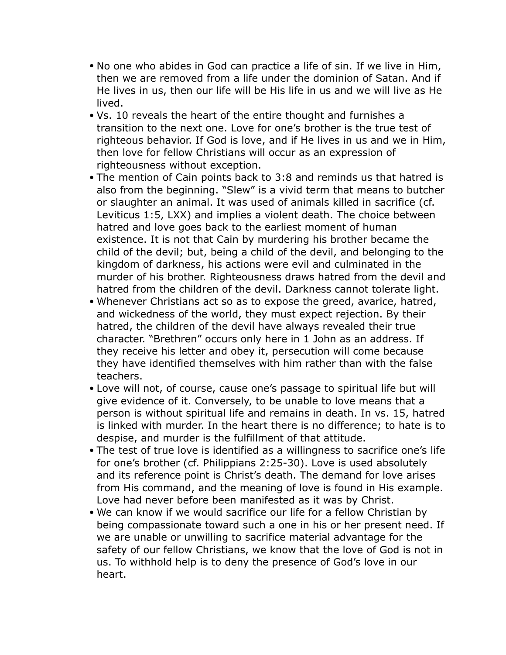- No one who abides in God can practice a life of sin. If we live in Him, then we are removed from a life under the dominion of Satan. And if He lives in us, then our life will be His life in us and we will live as He lived.
- Vs. 10 reveals the heart of the entire thought and furnishes a transition to the next one. Love for one's brother is the true test of righteous behavior. If God is love, and if He lives in us and we in Him, then love for fellow Christians will occur as an expression of righteousness without exception.
- The mention of Cain points back to 3:8 and reminds us that hatred is also from the beginning. "Slew" is a vivid term that means to butcher or slaughter an animal. It was used of animals killed in sacrifice (cf. Leviticus 1:5, LXX) and implies a violent death. The choice between hatred and love goes back to the earliest moment of human existence. It is not that Cain by murdering his brother became the child of the devil; but, being a child of the devil, and belonging to the kingdom of darkness, his actions were evil and culminated in the murder of his brother. Righteousness draws hatred from the devil and hatred from the children of the devil. Darkness cannot tolerate light.
- Whenever Christians act so as to expose the greed, avarice, hatred, and wickedness of the world, they must expect rejection. By their hatred, the children of the devil have always revealed their true character. "Brethren" occurs only here in 1 John as an address. If they receive his letter and obey it, persecution will come because they have identified themselves with him rather than with the false teachers.
- Love will not, of course, cause one's passage to spiritual life but will give evidence of it. Conversely, to be unable to love means that a person is without spiritual life and remains in death. In vs. 15, hatred is linked with murder. In the heart there is no difference; to hate is to despise, and murder is the fulfillment of that attitude.
- The test of true love is identified as a willingness to sacrifice one's life for one's brother (cf. Philippians 2:25-30). Love is used absolutely and its reference point is Christ's death. The demand for love arises from His command, and the meaning of love is found in His example. Love had never before been manifested as it was by Christ.
- We can know if we would sacrifice our life for a fellow Christian by being compassionate toward such a one in his or her present need. If we are unable or unwilling to sacrifice material advantage for the safety of our fellow Christians, we know that the love of God is not in us. To withhold help is to deny the presence of God's love in our heart.